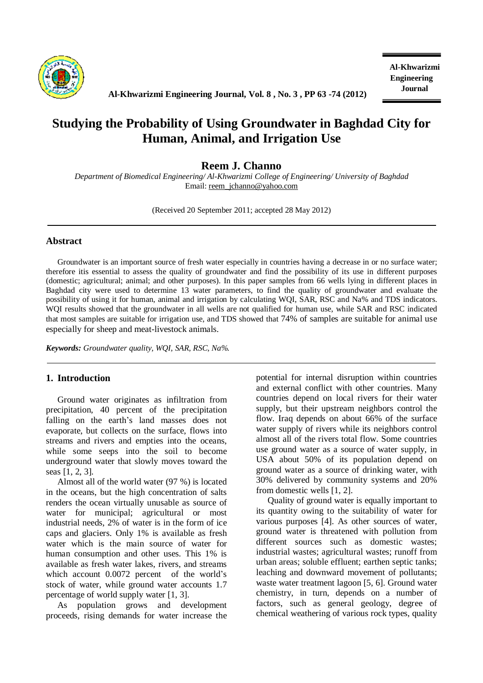

**Journal Al-Khwarizmi Engineering Journal, Vol. 8 , No. <sup>3</sup> , PP <sup>63</sup> -74 (2012)** 

# **Studying the Probability of Using Groundwater in Baghdad City for Human, Animal, and Irrigation Use**

# **Reem J. Channo**

*Department of Biomedical Engineering/ Al-Khwarizmi College of Engineering/ University of Baghdad*  Email: [reem\\_jchanno@yahoo.com](mailto:reem_jchanno@yahoo.com)

(Received 20 September 2011; accepted 28 May 2012)

### **Abstract**

Groundwater is an important source of fresh water especially in countries having a decrease in or no surface water; therefore itis essential to assess the quality of groundwater and find the possibility of its use in different purposes (domestic; agricultural; animal; and other purposes). In this paper samples from 66 wells lying in different places in Baghdad city were used to determine 13 water parameters, to find the quality of groundwater and evaluate the possibility of using it for human, animal and irrigation by calculating WQI, SAR, RSC and Na% and TDS indicators. WQI results showed that the groundwater in all wells are not qualified for human use, while SAR and RSC indicated that most samples are suitable for irrigation use, and TDS showed that 74% of samples are suitable for animal use especially for sheep and meat-livestock animals.

*Keywords: Groundwater quality, WQI, SAR, RSC, Na%.* 

## **1. Introduction**

Ground water originates as infiltration from precipitation, 40 percent of the precipitation falling on the earth's land masses does not evaporate, but collects on the surface, flows into streams and rivers and empties into the oceans, while some seeps into the soil to become underground water that slowly moves toward the seas [1, 2, 3].

Almost all of the world water (97 %) is located in the oceans, but the high concentration of salts renders the ocean virtually unusable as source of water for municipal; agricultural or most industrial needs, 2% of water is in the form of ice caps and glaciers. Only 1% is available as fresh water which is the main source of water for human consumption and other uses. This 1% is available as fresh water lakes, rivers, and streams which account 0.0072 percent of the world's stock of water, while ground water accounts 1.7 percentage of world supply water [1, 3].

As population grows and development proceeds, rising demands for water increase the potential for internal disruption within countries and external conflict with other countries. Many countries depend on local rivers for their water supply, but their upstream neighbors control the flow. Iraq depends on about 66% of the surface water supply of rivers while its neighbors control almost all of the rivers total flow. Some countries use ground water as a source of water supply, in USA about 50% of its population depend on ground water as a source of drinking water, with 30% delivered by community systems and 20% from domestic wells [1, 2].

Quality of ground water is equally important to its quantity owing to the suitability of water for various purposes [4]. As other sources of water, ground water is threatened with pollution from different sources such as domestic wastes; industrial wastes; agricultural wastes; runoff from urban areas; soluble effluent; earthen septic tanks; leaching and downward movement of pollutants; waste water treatment lagoon [5, 6]. Ground water chemistry, in turn, depends on a number of factors, such as general geology, degree of chemical weathering of various rock types, quality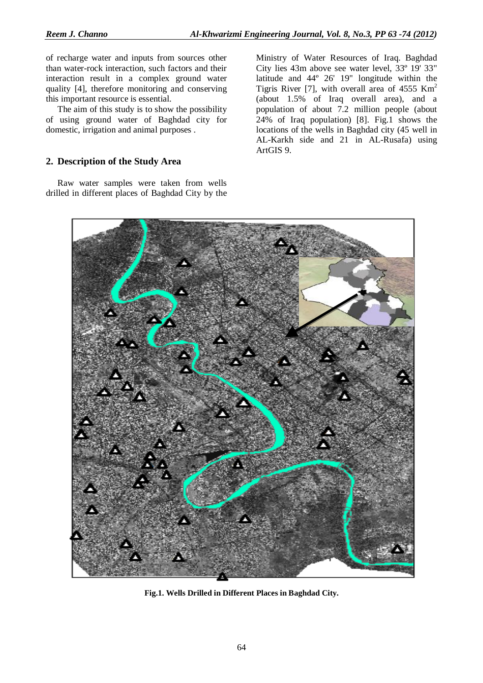of recharge water and inputs from sources other than water-rock interaction, such factors and their interaction result in a complex ground water quality [4], therefore monitoring and conserving this important resource is essential.

The aim of this study is to show the possibility of using ground water of Baghdad city for domestic, irrigation and animal purposes .

## **2. Description of the Study Area**

Raw water samples were taken from wells drilled in different places of Baghdad City by the Ministry of Water Resources of Iraq. Baghdad City lies 43m above see water level, 33º 19' 33" latitude and 44º 26' 19" longitude within the Tigris River [7], with overall area of  $4555$  Km<sup>2</sup> (about 1.5% of Iraq overall area), and a population of about 7.2 million people (about 24% of Iraq population) [8]. Fig.1 shows the locations of the wells in Baghdad city (45 well in AL-Karkh side and 21 in AL-Rusafa) using ArtGIS 9.



**Fig.1. Wells Drilled in Different Places in Baghdad City.**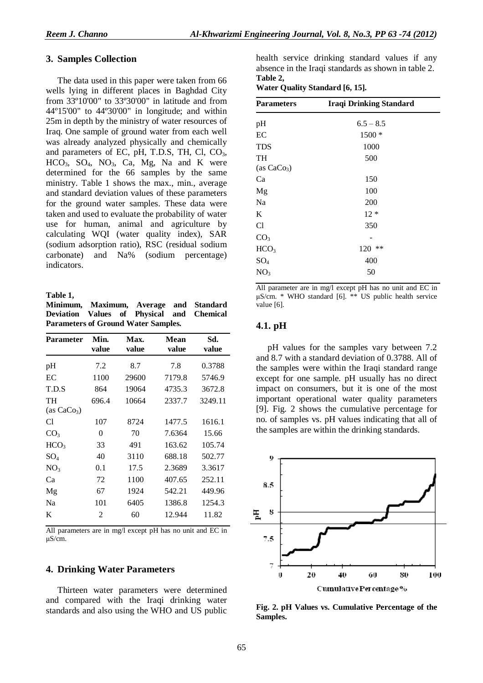## **3. Samples Collection**

The data used in this paper were taken from 66 wells lying in different places in Baghdad City from 33º10'00" to 33º30'00" in latitude and from 44º15'00" to 44º30'00" in longitude; and within 25m in depth by the ministry of water resources of Iraq. One sample of ground water from each well was already analyzed physically and chemically and parameters of EC, pH, T.D.S, TH, Cl,  $CO<sub>3</sub>$ ,  $HCO<sub>3</sub>$ ,  $SO<sub>4</sub>$ ,  $NO<sub>3</sub>$ ,  $Ca$ ,  $Mg$ ,  $Na$  and K were determined for the 66 samples by the same ministry. Table 1 shows the max., min., average and standard deviation values of these parameters for the ground water samples. These data were taken and used to evaluate the probability of water use for human, animal and agriculture by calculating WQI (water quality index), SAR (sodium adsorption ratio), RSC (residual sodium carbonate) and Na% (sodium percentage) indicators.

#### **Table 1,**

**Minimum, Maximum, Average and Standard Deviation Values of Physical and Chemical Parameters of Ground Water Samples.** 

| <b>Parameter</b>    | Min.<br>value | Max.<br>value | Mean<br>value | Sd.<br>value |
|---------------------|---------------|---------------|---------------|--------------|
| pH                  | 7.2           | 8.7           | 7.8           | 0.3788       |
| EC                  | 1100          | 29600         | 7179.8        | 5746.9       |
| T.D.S               | 864           | 19064         | 4735.3        | 3672.8       |
| TH<br>(as $CaCo3$ ) | 696.4         | 10664         | 2337.7        | 3249.11      |
| Cl                  | 107           | 8724          | 1477.5        | 1616.1       |
| CO <sub>3</sub>     | 0             | 70            | 7.6364        | 15.66        |
| HCO <sub>3</sub>    | 33            | 491           | 163.62        | 105.74       |
| $SO_4$              | 40            | 3110          | 688.18        | 502.77       |
| NO <sub>3</sub>     | 0.1           | 17.5          | 2.3689        | 3.3617       |
| Ca                  | 72            | 1100          | 407.65        | 252.11       |
| Mg                  | 67            | 1924          | 542.21        | 449.96       |
| Na                  | 101           | 6405          | 1386.8        | 1254.3       |
| K                   | 2             | 60            | 12.944        | 11.82        |

All parameters are in mg/l except pH has no unit and EC in μS/cm.

## **4. Drinking Water Parameters**

Thirteen water parameters were determined and compared with the Iraqi drinking water standards and also using the WHO and US public health service drinking standard values if any absence in the Iraqi standards as shown in table 2. **Table 2,** 

**Water Quality Standard [6, 15].** 

| <b>Parameters</b> | <b>Iraqi Drinking Standard</b> |  |
|-------------------|--------------------------------|--|
| pH                | $6.5 - 8.5$                    |  |
| EC                | 1500 *                         |  |
| <b>TDS</b>        | 1000                           |  |
| TH                | 500                            |  |
| (as $CaCo3$ )     |                                |  |
| Ca                | 150                            |  |
| Mg                | 100                            |  |
| Na                | 200                            |  |
| K                 | $12 *$                         |  |
| C <sub>1</sub>    | 350                            |  |
| CO <sub>3</sub>   |                                |  |
| HCO <sub>3</sub>  | 120 **                         |  |
| $SO_4$            | 400                            |  |
| NO <sub>3</sub>   | 50                             |  |
|                   |                                |  |

All parameter are in mg/l except pH has no unit and EC in  $\mu$ S/cm. \* WHO standard [6]. \*\* US public health service value [6].

## **4.1. pH**

pH values for the samples vary between 7.2 and 8.7 with a standard deviation of 0.3788. All of the samples were within the Iraqi standard range except for one sample. pH usually has no direct impact on consumers, but it is one of the most important operational water quality parameters [9]. Fig. 2 shows the cumulative percentage for no. of samples vs. pH values indicating that all of the samples are within the drinking standards.



**Fig. 2. pH Values vs. Cumulative Percentage of the Samples.**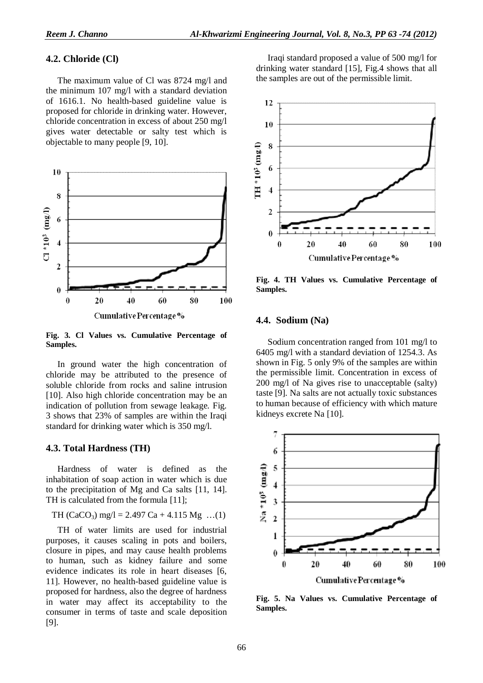#### **4.2. Chloride (Cl)**

The maximum value of Cl was 8724 mg/l and the minimum 107 mg/l with a standard deviation of 1616.1. No health-based guideline value is proposed for chloride in drinking water. However, chloride concentration in excess of about 250 mg/l gives water detectable or salty test which is objectable to many people [9, 10].



**Fig. 3. Cl Values vs. Cumulative Percentage of Samples.** 

In ground water the high concentration of chloride may be attributed to the presence of soluble chloride from rocks and saline intrusion [10]. Also high chloride concentration may be an indication of pollution from sewage leakage. Fig. 3 shows that 23% of samples are within the Iraqi standard for drinking water which is 350 mg/l.

#### **4.3. Total Hardness (TH)**

Hardness of water is defined as the inhabitation of soap action in water which is due to the precipitation of Mg and Ca salts [11, 14]. TH is calculated from the formula [11];

TH (CaCO3) mg/l = 2.497 Ca + 4.115 Mg …(1)

TH of water limits are used for industrial purposes, it causes scaling in pots and boilers, closure in pipes, and may cause health problems to human, such as kidney failure and some evidence indicates its role in heart diseases [6, 11]. However, no health-based guideline value is proposed for hardness, also the degree of hardness in water may affect its acceptability to the consumer in terms of taste and scale deposition [9].

Iraqi standard proposed a value of 500 mg/l for drinking water standard [15], Fig.4 shows that all the samples are out of the permissible limit.



**Fig. 4. TH Values vs. Cumulative Percentage of Samples.** 

#### **4.4. Sodium (Na)**

Sodium concentration ranged from 101 mg/l to 6405 mg/l with a standard deviation of 1254.3. As shown in Fig. 5 only 9% of the samples are within the permissible limit. Concentration in excess of 200 mg/l of Na gives rise to unacceptable (salty) taste [9]. Na salts are not actually toxic substances to human because of efficiency with which mature kidneys excrete Na [10].



**Fig. 5. Na Values vs. Cumulative Percentage of Samples.**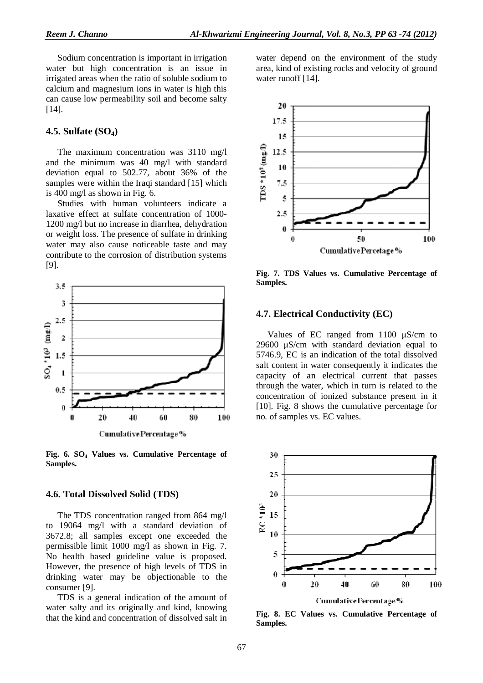Sodium concentration is important in irrigation water but high concentration is an issue in irrigated areas when the ratio of soluble sodium to calcium and magnesium ions in water is high this can cause low permeability soil and become salty  $[14]$ .

#### **4.5. Sulfate (SO4)**

The maximum concentration was 3110 mg/l and the minimum was 40 mg/l with standard deviation equal to 502.77, about 36% of the samples were within the Iraqi standard [15] which is 400 mg/l as shown in Fig. 6.

Studies with human volunteers indicate a laxative effect at sulfate concentration of 1000- 1200 mg/l but no increase in diarrhea, dehydration or weight loss. The presence of sulfate in drinking water may also cause noticeable taste and may contribute to the corrosion of distribution systems [9].



**Fig. 6. SO<sup>4</sup> Values vs. Cumulative Percentage of Samples.** 

#### **4.6. Total Dissolved Solid (TDS)**

The TDS concentration ranged from 864 mg/l to 19064 mg/l with a standard deviation of 3672.8; all samples except one exceeded the permissible limit 1000 mg/l as shown in Fig. 7. No health based guideline value is proposed. However, the presence of high levels of TDS in drinking water may be objectionable to the consumer [9].

TDS is a general indication of the amount of water salty and its originally and kind, knowing that the kind and concentration of dissolved salt in water depend on the environment of the study area, kind of existing rocks and velocity of ground water runoff [14].



**Fig. 7. TDS Values vs. Cumulative Percentage of Samples.** 

#### **4.7. Electrical Conductivity (EC)**

Values of EC ranged from 1100 μS/cm to 29600 μS/cm with standard deviation equal to 5746.9, EC is an indication of the total dissolved salt content in water consequently it indicates the capacity of an electrical current that passes through the water, which in turn is related to the concentration of ionized substance present in it [10]. Fig. 8 shows the cumulative percentage for no. of samples vs. EC values.



**Fig. 8. EC Values vs. Cumulative Percentage of Samples.**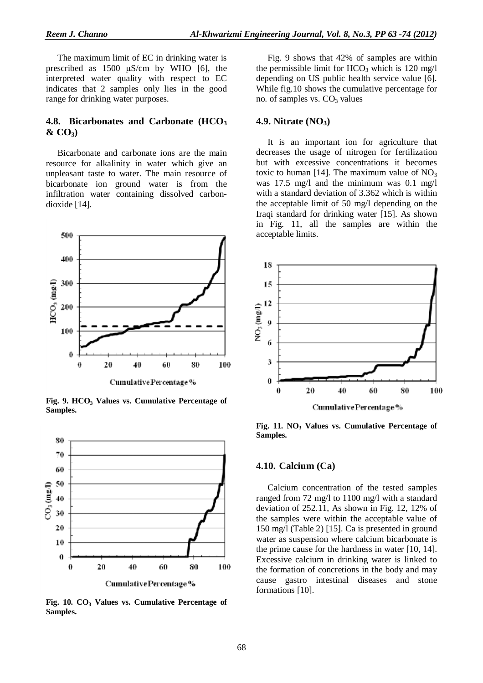The maximum limit of EC in drinking water is prescribed as 1500 μS/cm by WHO [6], the interpreted water quality with respect to EC indicates that 2 samples only lies in the good range for drinking water purposes.

### **4.8. Bicarbonates and Carbonate (HCO<sup>3</sup> & CO3)**

Bicarbonate and carbonate ions are the main resource for alkalinity in water which give an unpleasant taste to water. The main resource of bicarbonate ion ground water is from the infiltration water containing dissolved carbondioxide [14].



**Fig. 9. HCO<sup>3</sup> Values vs. Cumulative Percentage of Samples.** 



**Fig. 10. CO<sup>3</sup> Values vs. Cumulative Percentage of Samples.** 

Fig. 9 shows that 42% of samples are within the permissible limit for  $HCO<sub>3</sub>$  which is 120 mg/l depending on US public health service value [6]. While fig.10 shows the cumulative percentage for no. of samples vs.  $CO<sub>3</sub>$  values

#### **4.9. Nitrate (NO3)**

It is an important ion for agriculture that decreases the usage of nitrogen for fertilization but with excessive concentrations it becomes toxic to human [14]. The maximum value of  $NO<sub>3</sub>$ was 17.5 mg/l and the minimum was 0.1 mg/l with a standard deviation of 3.362 which is within the acceptable limit of 50 mg/l depending on the Iraqi standard for drinking water [15]. As shown in Fig. 11, all the samples are within the acceptable limits.



**Fig. 11. NO<sup>3</sup> Values vs. Cumulative Percentage of Samples.** 

#### **4.10. Calcium (Ca)**

Calcium concentration of the tested samples ranged from 72 mg/l to 1100 mg/l with a standard deviation of 252.11, As shown in Fig. 12, 12% of the samples were within the acceptable value of 150 mg/l (Table 2) [15]. Ca is presented in ground water as suspension where calcium bicarbonate is the prime cause for the hardness in water [10, 14]. Excessive calcium in drinking water is linked to the formation of concretions in the body and may cause gastro intestinal diseases and stone formations [10].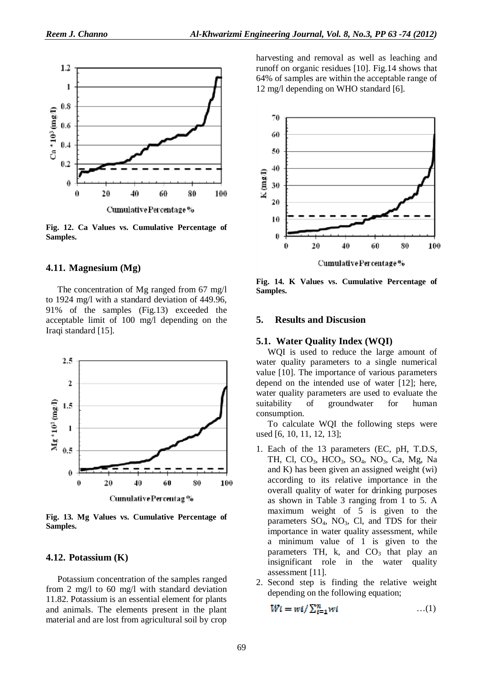

**Fig. 12. Ca Values vs. Cumulative Percentage of Samples.** 

#### **4.11. Magnesium (Mg)**

The concentration of Mg ranged from 67 mg/l to 1924 mg/l with a standard deviation of 449.96, 91% of the samples (Fig.13) exceeded the acceptable limit of 100 mg/l depending on the Iraqi standard [15].



**Fig. 13. Mg Values vs. Cumulative Percentage of Samples.** 

#### **4.12. Potassium (K)**

Potassium concentration of the samples ranged from 2 mg/l to 60 mg/l with standard deviation 11.82. Potassium is an essential element for plants and animals. The elements present in the plant material and are lost from agricultural soil by crop harvesting and removal as well as leaching and runoff on organic residues [10]. Fig.14 shows that 64% of samples are within the acceptable range of 12 mg/l depending on WHO standard [6].



**Fig. 14. K Values vs. Cumulative Percentage of Samples.** 

#### **5. Results and Discusion**

#### **5.1. Water Quality Index (WQI)**

WQI is used to reduce the large amount of water quality parameters to a single numerical value [10]. The importance of various parameters depend on the intended use of water [12]; here, water quality parameters are used to evaluate the suitability of groundwater for human consumption.

To calculate WQI the following steps were used [6, 10, 11, 12, 13];

- 1. Each of the 13 parameters (EC, pH, T.D.S, TH, Cl, CO<sub>3</sub>, HCO<sub>3</sub>, SO<sub>4</sub>, NO<sub>3</sub>, Ca, Mg, Na and K) has been given an assigned weight (wi) according to its relative importance in the overall quality of water for drinking purposes as shown in Table 3 ranging from 1 to 5. A maximum weight of  $\overline{5}$  is given to the parameters  $SO_4$ ,  $NO_3$ , Cl, and TDS for their importance in water quality assessment, while a minimum value of 1 is given to the parameters TH, k, and  $CO<sub>3</sub>$  that play an insignificant role in the water quality assessment [11].
- 2. Second step is finding the relative weight depending on the following equation;

$$
Wi = wi / \sum_{i=1}^{n} wi
$$
...(1)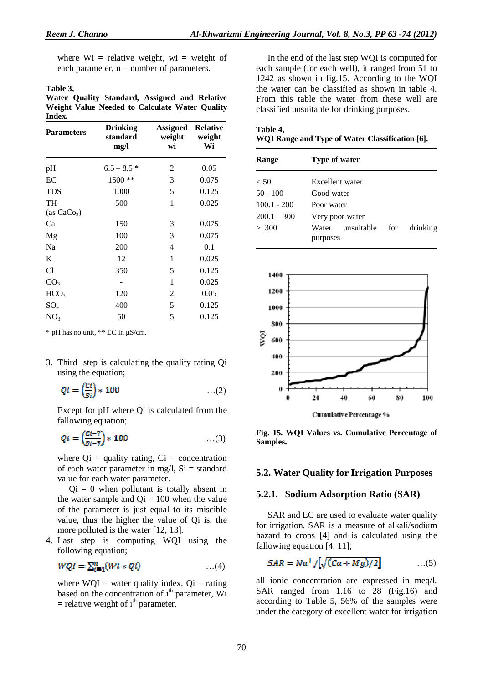where  $Wi =$  relative weight, wi = weight of each parameter,  $n =$  number of parameters.

#### **Table 3,**

**Water Quality Standard, Assigned and Relative Weight Value Needed to Calculate Water Quality Index.** 

| <b>Parameters</b>             | <b>Drinking</b><br>standard<br>mg/l | <b>Assigned Relative</b><br>weight<br>wi | weight<br>Wi |
|-------------------------------|-------------------------------------|------------------------------------------|--------------|
| pH                            | $6.5 - 8.5*$                        | 2                                        | 0.05         |
| EC                            | $1500**$                            | 3                                        | 0.075        |
| <b>TDS</b>                    | 1000                                | 5                                        | 0.125        |
| TH<br>(as CaCo <sub>3</sub> ) | 500                                 | 1                                        | 0.025        |
| Ca                            | 150                                 | 3                                        | 0.075        |
| Mg                            | 100                                 | 3                                        | 0.075        |
| Na                            | 200                                 | 4                                        | 0.1          |
| K                             | 12                                  | 1                                        | 0.025        |
| C1                            | 350                                 | 5                                        | 0.125        |
| CO <sub>3</sub>               |                                     | 1                                        | 0.025        |
| HCO <sub>3</sub>              | 120                                 | 2                                        | 0.05         |
| $SO_4$                        | 400                                 | 5                                        | 0.125        |
| NO <sub>3</sub>               | 50                                  | 5                                        | 0.125        |

\* pH has no unit, \*\* EC in μS/cm.

3. Third step is calculating the quality rating Qi using the equation;

$$
Qi = \left(\frac{Ci}{si}\right) * 100 \qquad \qquad \dots (2)
$$

Except for pH where Qi is calculated from the fallowing equation;

$$
Qi = \left(\frac{Ci - 7}{Si - 7}\right) * 100 \qquad \qquad \dots (3)
$$

where  $Qi =$  quality rating,  $Ci =$  concentration of each water parameter in mg/l,  $Si = standard$ value for each water parameter.

 $Qi = 0$  when pollutant is totally absent in the water sample and  $Qi = 100$  when the value of the parameter is just equal to its miscible value, thus the higher the value of Qi is, the more polluted is the water [12, 13].

4. Last step is computing WQI using the following equation;

$$
WQI = \sum_{i=1}^{n} (Wi * Qi) \qquad \qquad \dots (4)
$$

where  $WQI =$  water quality index,  $Qi =$  rating based on the concentration of i<sup>th</sup> parameter, Wi  $=$  relative weight of i<sup>th</sup> parameter.

In the end of the last step WQI is computed for each sample (for each well), it ranged from 51 to 1242 as shown in fig.15. According to the WQI the water can be classified as shown in table 4. From this table the water from these well are classified unsuitable for drinking purposes.

| Table 4,                                        |  |  |
|-------------------------------------------------|--|--|
| WQI Range and Type of Water Classification [6]. |  |  |

| Range         | Type of water                   |     |          |  |
|---------------|---------------------------------|-----|----------|--|
| < 50          | Excellent water                 |     |          |  |
| $50 - 100$    | Good water                      |     |          |  |
| $100.1 - 200$ | Poor water                      |     |          |  |
| $200.1 - 300$ | Very poor water                 |     |          |  |
| > 300         | unsuitable<br>Water<br>purposes | for | drinking |  |



**Fig. 15. WQI Values vs. Cumulative Percentage of Samples.** 

#### **5.2. Water Quality for Irrigation Purposes**

#### **5.2.1. Sodium Adsorption Ratio (SAR)**

SAR and EC are used to evaluate water quality for irrigation. SAR is a measure of alkali/sodium hazard to crops [4] and is calculated using the fallowing equation [4, 11];

$$
SAR = Na^{+}/[\sqrt{(Ca+Mg)/2}] \qquad \qquad ...(5)
$$

all ionic concentration are expressed in meq/l. SAR ranged from 1.16 to 28 (Fig.16) and according to Table 5, 56% of the samples were under the category of excellent water for irrigation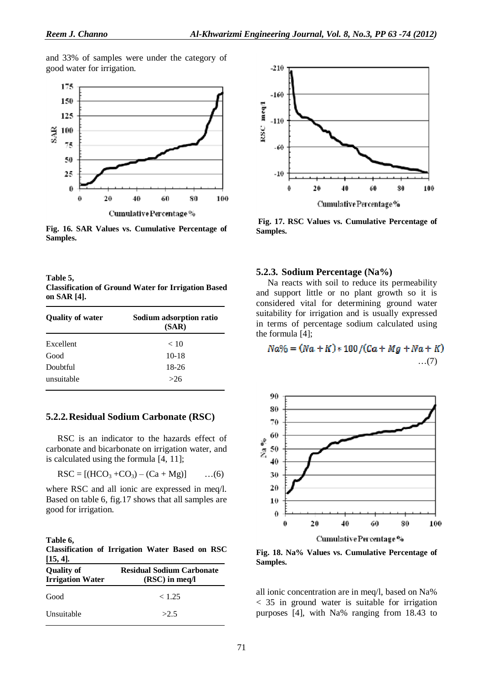and 33% of samples were under the category of good water for irrigation.



**Fig. 16. SAR Values vs. Cumulative Percentage of Samples.**

**Table 5, Classification of Ground Water for Irrigation Based on SAR [4].** 

| <b>Quality of water</b> | Sodium adsorption ratio<br>(SAR) |  |
|-------------------------|----------------------------------|--|
| Excellent               | < 10                             |  |
| Good                    | $10-18$                          |  |
| Doubtful                | 18-26                            |  |
| unsuitable              | >26                              |  |

#### **5.2.2.Residual Sodium Carbonate (RSC)**

RSC is an indicator to the hazards effect of carbonate and bicarbonate on irrigation water, and is calculated using the formula [4, 11];

$$
RSC = [(HCO3 + CO3) - (Ca + Mg)] \qquad ...(6)
$$

where RSC and all ionic are expressed in meq/l. Based on table 6, fig.17 shows that all samples are good for irrigation.

**Table 6, Classification of Irrigation Water Based on RSC [15, 4].** 

| $1 - 7 - 7$<br><b>Quality of</b><br><b>Irrigation Water</b> | <b>Residual Sodium Carbonate</b><br>$(RSC)$ in meq/l |  |
|-------------------------------------------------------------|------------------------------------------------------|--|
| Good                                                        | < 1.25                                               |  |
| Unsuitable                                                  | >2.5                                                 |  |



**Fig. 17. RSC Values vs. Cumulative Percentage of Samples.**

#### **5.2.3. Sodium Percentage (Na%)**

Na reacts with soil to reduce its permeability and support little or no plant growth so it is considered vital for determining ground water suitability for irrigation and is usually expressed in terms of percentage sodium calculated using the formula [4];

# $Na\% = (Na + K) * 100 / (Ca + Mg + Na + K)$ …(7)



**Fig. 18. Na% Values vs. Cumulative Percentage of Samples.** 

all ionic concentration are in meq/l, based on Na% < 35 in ground water is suitable for irrigation purposes [4], with Na% ranging from 18.43 to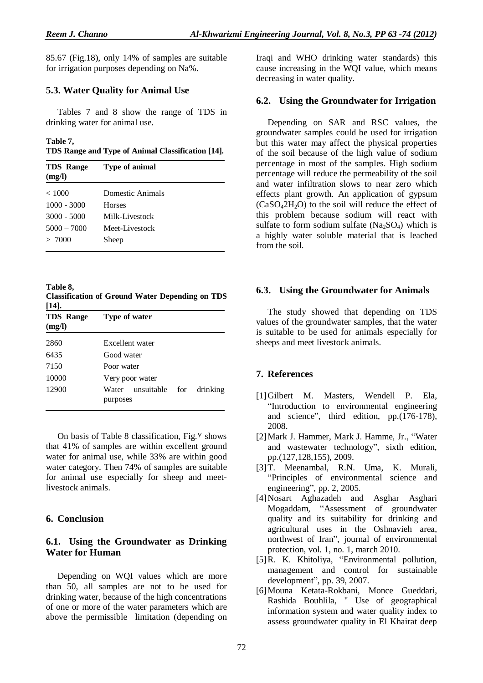85.67 (Fig.18), only 14% of samples are suitable for irrigation purposes depending on Na%.

# **5.3. Water Quality for Animal Use**

Tables 7 and 8 show the range of TDS in drinking water for animal use.

#### **Table 7,**

**TDS Range and Type of Animal Classification [14].** 

| <b>TDS</b> Range<br>(mg/l) | <b>Type of animal</b> |  |
|----------------------------|-----------------------|--|
| < 1000                     | Domestic Animals      |  |
| $1000 - 3000$              | <b>Horses</b>         |  |
| $3000 - 5000$              | Milk-Livestock        |  |
| $5000 - 7000$              | Meet-Livestock        |  |
| > 7000                     | Sheep                 |  |

**Table 8,** 

**Classification of Ground Water Depending on TDS [14].** 

| <b>TDS</b> Range<br>(mg/l) | Type of water                       |          |
|----------------------------|-------------------------------------|----------|
| 2860                       | Excellent water                     |          |
| 6435                       | Good water                          |          |
| 7150                       | Poor water                          |          |
| 10000                      | Very poor water                     |          |
| 12900                      | unsuitable for<br>Water<br>purposes | drinking |

On basis of Table 8 classification, Fig. $\%$  shows that 41% of samples are within excellent ground water for animal use, while 33% are within good water category. Then 74% of samples are suitable for animal use especially for sheep and meetlivestock animals.

# **6. Conclusion**

# **6.1. Using the Groundwater as Drinking Water for Human**

Depending on WQI values which are more than 50, all samples are not to be used for drinking water, because of the high concentrations of one or more of the water parameters which are above the permissible limitation (depending on Iraqi and WHO drinking water standards) this cause increasing in the WQI value, which means decreasing in water quality.

# **6.2. Using the Groundwater for Irrigation**

Depending on SAR and RSC values, the groundwater samples could be used for irrigation but this water may affect the physical properties of the soil because of the high value of sodium percentage in most of the samples. High sodium percentage will reduce the permeability of the soil and water infiltration slows to near zero which effects plant growth. An application of gypsum  $(CaSO<sub>4</sub>2H<sub>2</sub>O)$  to the soil will reduce the effect of this problem because sodium will react with sulfate to form sodium sulfate  $(Na_2SO_4)$  which is a highly water soluble material that is leached from the soil.

# **6.3. Using the Groundwater for Animals**

The study showed that depending on TDS values of the groundwater samples, that the water is suitable to be used for animals especially for sheeps and meet livestock animals.

# **7. References**

- [1]Gilbert M. Masters, Wendell P. Ela, "Introduction to environmental engineering and science", third edition, pp.(176-178), 2008.
- [2]Mark J. Hammer, Mark J. Hamme, Jr., "Water and wastewater technology", sixth edition, pp.(127,128,155), 2009.
- [3]T. Meenambal, R.N. Uma, K. Murali, "Principles of environmental science and engineering", pp. 2, 2005.
- [4]Nosart Aghazadeh and Asghar Asghari Mogaddam, "Assessment of groundwater quality and its suitability for drinking and agricultural uses in the Oshnavieh area, northwest of Iran", journal of environmental protection, vol. 1, no. 1, march 2010.
- [5]R. K. Khitoliya, "Environmental pollution, management and control for sustainable development", pp. 39, 2007.
- [6]Mouna Ketata-Rokbani, Monce Gueddari, Rashida Bouhlila, " Use of geographical information system and water quality index to assess groundwater quality in El Khairat deep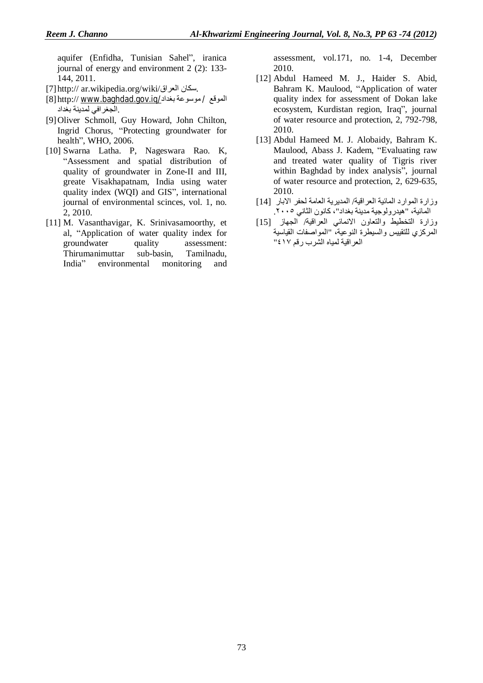aquifer (Enfidha, Tunisian Sahel", iranica journal of energy and environment 2 (2): 133- 144, 2011.

- [7]http:// ar.wikipedia.org/wiki/العراق سكان.
- [8]http:// [www.baghdad.gov.iq/](http://www.baghdad.gov.iq/)بغداد موسوعة / الموقع .الجغرافي لمدینة بغداد
- [9]Oliver Schmoll, Guy Howard, John Chilton, Ingrid Chorus, "Protecting groundwater for health", WHO, 2006.
- [10] Swarna Latha. P, Nageswara Rao. K, "Assessment and spatial distribution of quality of groundwater in Zone-II and III, greate Visakhapatnam, India using water quality index (WQI) and GIS", international journal of environmental scinces, vol. 1, no. 2, 2010.
- [11] M. Vasanthavigar, K. Srinivasamoorthy, et al, "Application of water quality index for groundwater quality assessment: Thirumanimuttar sub-basin, Tamilnadu, India" environmental monitoring and

assessment, vol.171, no. 1-4, December 2010.

- [12] Abdul Hameed M. J., Haider S. Abid, Bahram K. Maulood, "Application of water quality index for assessment of Dokan lake ecosystem, Kurdistan region, Iraq", journal of water resource and protection, 2, 792-798, 2010.
- [13] Abdul Hameed M. J. Alobaidy, Bahram K. Maulood, Abass J. Kadem, "Evaluating raw and treated water quality of Tigris river within Baghdad by index analysis", journal of water resource and protection, 2, 629-635, 2010.
- وزارة الموارد المائیة العراقیة/ المدیریة العامة لحفر الابار [14] المائیة، "ھیدرولوجیة مدینة بغداد"، كانون الثاني .٢٠٠٥
- وزارة التخطیط والتعاون الانمائي العراقیة/ الجھاز [15] المركزي للتقییس والسیطرة النوعیة، "المواصفات القیاسیة العراقیة لمیاه الشرب رقم ٤١٧"